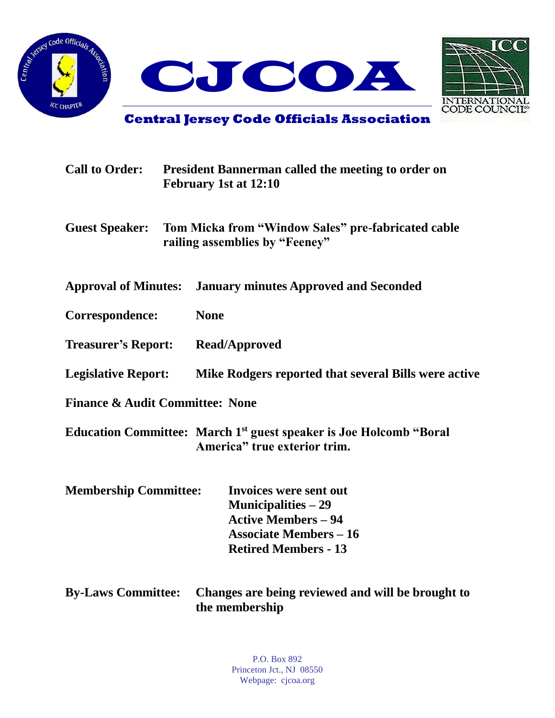



**Central Jersey Code Officials Association**

| <b>Call to Order:</b>                      |  | <b>President Bannerman called the meeting to order on</b><br>February 1st at 12:10                                                                         |  |  |
|--------------------------------------------|--|------------------------------------------------------------------------------------------------------------------------------------------------------------|--|--|
| <b>Guest Speaker:</b>                      |  | Tom Micka from "Window Sales" pre-fabricated cable<br>railing assemblies by "Feeney"                                                                       |  |  |
| <b>Approval of Minutes:</b>                |  | <b>January minutes Approved and Seconded</b>                                                                                                               |  |  |
| Correspondence:                            |  | <b>None</b>                                                                                                                                                |  |  |
| <b>Treasurer's Report:</b>                 |  | <b>Read/Approved</b>                                                                                                                                       |  |  |
| <b>Legislative Report:</b>                 |  | Mike Rodgers reported that several Bills were active                                                                                                       |  |  |
| <b>Finance &amp; Audit Committee: None</b> |  |                                                                                                                                                            |  |  |
|                                            |  | Education Committee: March 1 <sup>st</sup> guest speaker is Joe Holcomb "Boral<br>America" true exterior trim.                                             |  |  |
| <b>Membership Committee:</b>               |  | <b>Invoices were sent out</b><br><b>Municipalities</b> $-29$<br><b>Active Members - 94</b><br><b>Associate Members - 16</b><br><b>Retired Members - 13</b> |  |  |
| <b>By-Laws Committee:</b>                  |  | Changes are being reviewed and will be brought to                                                                                                          |  |  |

**the membership**

P.O. Box 892 Princeton Jct., NJ 08550 Webpage: cjcoa.org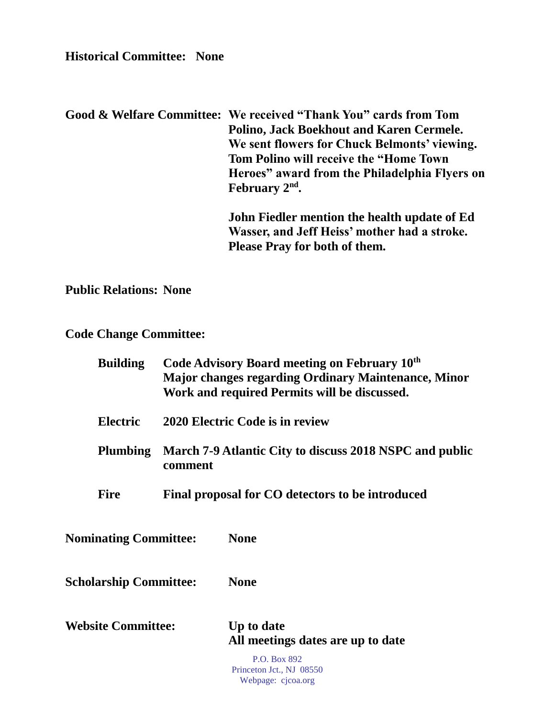**Historical Committee: None**

**Good & Welfare Committee: We received "Thank You" cards from Tom Polino, Jack Boekhout and Karen Cermele. We sent flowers for Chuck Belmonts' viewing. Tom Polino will receive the "Home Town Heroes" award from the Philadelphia Flyers on February 2nd .**

> **John Fiedler mention the health update of Ed Wasser, and Jeff Heiss' mother had a stroke. Please Pray for both of them.**

**Public Relations: None**

**Code Change Committee:**

| <b>Building</b>               |                                                                    | Code Advisory Board meeting on February 10 <sup>th</sup><br><b>Major changes regarding Ordinary Maintenance, Minor</b><br>Work and required Permits will be discussed. |  |
|-------------------------------|--------------------------------------------------------------------|------------------------------------------------------------------------------------------------------------------------------------------------------------------------|--|
| <b>Electric</b>               | 2020 Electric Code is in review                                    |                                                                                                                                                                        |  |
| <b>Plumbing</b>               | March 7-9 Atlantic City to discuss 2018 NSPC and public<br>comment |                                                                                                                                                                        |  |
| <b>Fire</b>                   |                                                                    | Final proposal for CO detectors to be introduced                                                                                                                       |  |
| <b>Nominating Committee:</b>  |                                                                    | <b>None</b>                                                                                                                                                            |  |
| <b>Scholarship Committee:</b> |                                                                    | <b>None</b>                                                                                                                                                            |  |
| <b>Website Committee:</b>     |                                                                    | Up to date<br>All meetings dates are up to date                                                                                                                        |  |
|                               |                                                                    | P.O. Box 892<br>Princeton Jct., NJ 08550                                                                                                                               |  |

Webpage: cjcoa.org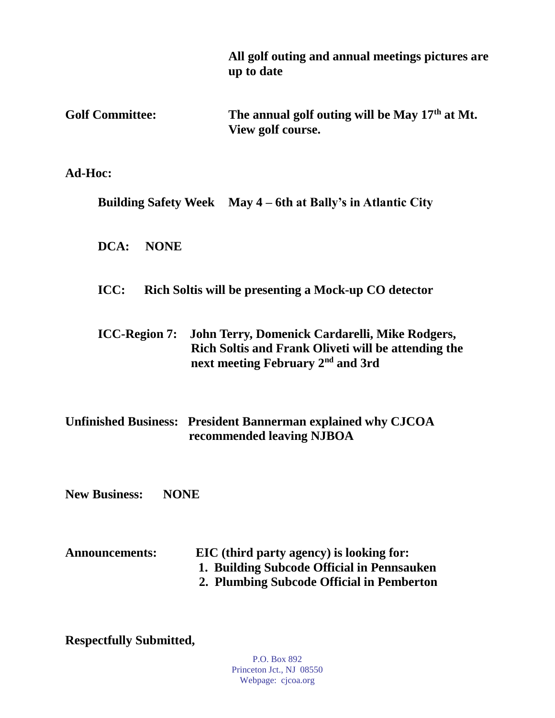|                                     | All golf outing and annual meetings pictures are<br>up to date                                                                                         |  |  |  |
|-------------------------------------|--------------------------------------------------------------------------------------------------------------------------------------------------------|--|--|--|
| <b>Golf Committee:</b>              | The annual golf outing will be May 17 <sup>th</sup> at Mt.<br>View golf course.                                                                        |  |  |  |
| Ad-Hoc:                             |                                                                                                                                                        |  |  |  |
|                                     | Building Safety Week May 4 – 6th at Bally's in Atlantic City                                                                                           |  |  |  |
| $DCA$ :<br><b>NONE</b>              |                                                                                                                                                        |  |  |  |
| ICC:                                | Rich Soltis will be presenting a Mock-up CO detector                                                                                                   |  |  |  |
| <b>ICC-Region 7:</b>                | John Terry, Domenick Cardarelli, Mike Rodgers,<br>Rich Soltis and Frank Oliveti will be attending the<br>next meeting February 2 <sup>nd</sup> and 3rd |  |  |  |
|                                     | <b>Unfinished Business: President Bannerman explained why CJCOA</b><br>recommended leaving NJBOA                                                       |  |  |  |
| <b>New Business:</b><br><b>NONE</b> |                                                                                                                                                        |  |  |  |
| <b>Announcements:</b>               | EIC (third party agency) is looking for:<br>1. Building Subcode Official in Pennsauken<br>2. Plumbing Subcode Official in Pemberton                    |  |  |  |

**Respectfully Submitted,**